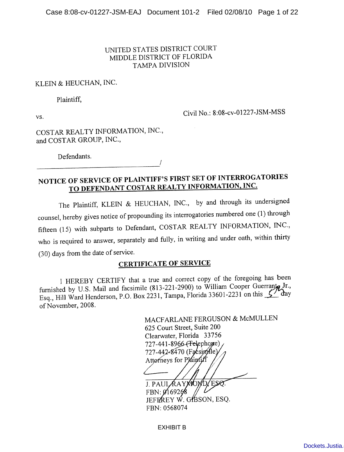## UNITED STATES DISTRICT COURT MIDDLE DISTRICT OF FLORIDA **TAMPA DIVISION**

## KLEIN & HEUCHAN, INC.

Plaintiff,

VS.

Civil No.: 8:08-cv-01227-JSM-MSS

COSTAR REALTY INFORMATION, INC., and COSTAR GROUP, INC.,

Defendants.

# NOTICE OF SERVICE OF PLAINTIFF'S FIRST SET OF INTERROGATORIES TO DEFENDANT COSTAR REALTY INFORMATION, INC.

The Plaintiff, KLEIN & HEUCHAN, INC., by and through its undersigned counsel, hereby gives notice of propounding its interrogatories numbered one (1) through fifteen (15) with subparts to Defendant, COSTAR REALTY INFORMATION, INC., who is required to answer, separately and fully, in writing and under oath, within thirty (30) days from the date of service.

## **CERTIFICATE OF SERVICE**

I HEREBY CERTIFY that a true and correct copy of the foregoing has been furnished by U.S. Mail and facsimile (813-221-2900) to William Cooper Guerranta Jr., Esq., Hill Ward Henderson, P.O. Box 2231, Tampa, Florida 33601-2231 on this 5 day of November, 2008.

> MACFARLANE FERGUSON & McMULLEN 625 Court Street, Suite 200 Clearwater, Florida 33756 727-441-8966-(Felephogie) 727-442-8470 (Facsimile) Attorneys for Plaintiff J. PAULAAYMOMD

 $FBN:  $\emptyset$ 169268$ JEFFREY W. GOSON, ESQ. FBN: 0568074

**EXHIBIT B**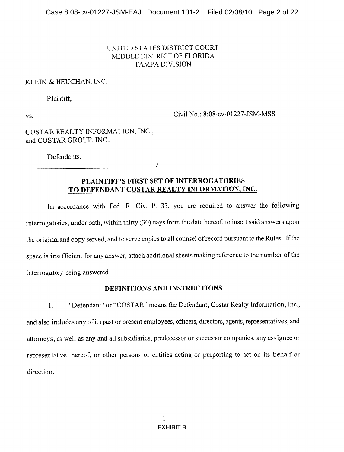## UNITED STATES DISTRICT COURT MIDDLE DISTRICT OF FLORIDA **TAMPA DIVISION**

### KLEIN & HEUCHAN, INC.

Plaintiff,

VS.

Civil No.: 8:08-cv-01227-JSM-MSS

COSTAR REALTY INFORMATION, INC., and COSTAR GROUP, INC.,

Defendants.

PLAINTIFF'S FIRST SET OF INTERROGATORIES TO DEFENDANT COSTAR REALTY INFORMATION, INC.

In accordance with Fed. R. Civ. P. 33, you are required to answer the following interrogatories, under oath, within thirty (30) days from the date hereof, to insert said answers upon the original and copy served, and to serve copies to all counsel of record pursuant to the Rules. If the space is insufficient for any answer, attach additional sheets making reference to the number of the interrogatory being answered.

#### DEFINITIONS AND INSTRUCTIONS

 $1.$ "Defendant" or "COSTAR" means the Defendant, Costar Realty Information, Inc., and also includes any of its past or present employees, officers, directors, agents, representatives, and attorneys, as well as any and all subsidiaries, predecessor or successor companies, any assignee or representative thereof, or other persons or entities acting or purporting to act on its behalf or direction.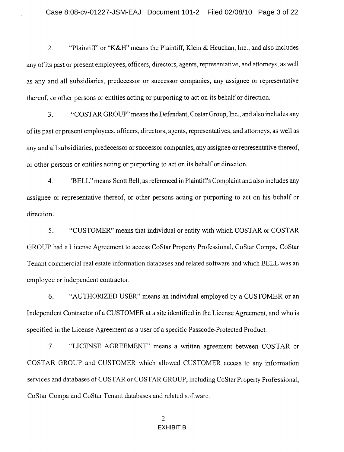$2.$ "Plaintiff" or "K&H" means the Plaintiff, Klein & Heuchan, Inc., and also includes any of its past or present employees, officers, directors, agents, representative, and attorneys, as well as any and all subsidiaries, predecessor or successor companies, any assignee or representative thereof, or other persons or entities acting or purporting to act on its behalf or direction.

 $3<sub>1</sub>$ "COSTAR GROUP" means the Defendant, Costar Group, Inc., and also includes any of its past or present employees, officers, directors, agents, representatives, and attorneys, as well as any and all subsidiaries, predecessor or successor companies, any assignee or representative thereof, or other persons or entities acting or purporting to act on its behalf or direction.

"BELL" means Scott Bell, as referenced in Plaintiff's Complaint and also includes any  $4.$ assignee or representative thereof, or other persons acting or purporting to act on his behalf or direction.

5. "CUSTOMER" means that individual or entity with which COSTAR or COSTAR GROUP had a License Agreement to access CoStar Property Professional, CoStar Comps, CoStar Tenant commercial real estate information databases and related software and which BELL was an employee or independent contractor.

6. "AUTHORIZED USER" means an individual employed by a CUSTOMER or an Independent Contractor of a CUSTOMER at a site identified in the License Agreement, and who is specified in the License Agreement as a user of a specific Passcode-Protected Product.

"LICENSE AGREEMENT" means a written agreement between COSTAR or 7. COSTAR GROUP and CUSTOMER which allowed CUSTOMER access to any information services and databases of COSTAR or COSTAR GROUP, including CoStar Property Professional, CoStar Compa and CoStar Tenant databases and related software.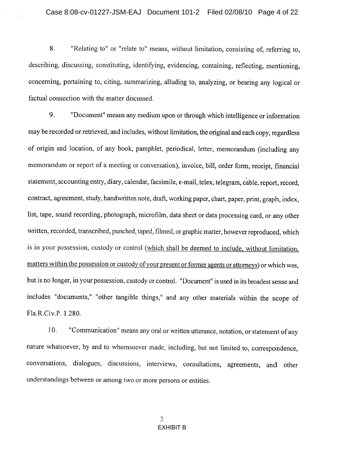8. "Relating to" or "relate to" means, without limitation, consisting of, referring to, describing, discussing, constituting, identifying, evidencing, containing, reflecting, mentioning, concerning, pertaining to, citing, summarizing, alluding to, analyzing, or bearing any logical or factual connection with the matter discussed.

9. "Document" means any medium upon or through which intelligence or information may be recorded or retrieved, and includes, without limitation, the original and each copy, regardless of origin and location, of any book, pamphlet, periodical, letter, memorandum (including any memorandum or report of a meeting or conversation), invoice, bill, order form, receipt, financial statement, accounting entry, diary, calendar, facsimile, e-mail, telex, telegram, cable, report, record, contract, agreement, study, handwritten note, draft, working paper, chart, paper, print, graph, index, list, tape, sound recording, photograph, microfilm, data sheet or data processing card, or any other written, recorded, transcribed, punched, taped, filmed, or graphic matter, however reproduced, which is in your possession, custody or control (which shall be deemed to include, without limitation, matters within the possession or custody of your present or former agents or attorneys) or which was, but is no longer, in your possession, custody or control. "Document" is used in its broadest sense and includes "documents," "other tangible things," and any other materials within the scope of Fla.R.Civ.P. 1.280.

10. "Communication" means any oral or written utterance, notation, or statement of any nature whatsoever, by and to whomsoever made, including, but not limited to, correspondence, conversations, dialogues, discussions, interviews, consultations, agreements, and other understandings between or among two or more persons or entities.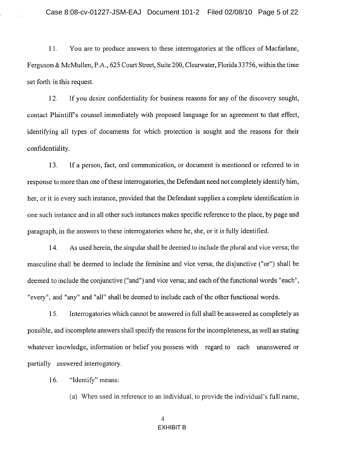$11.$ You are to produce answers to these interrogatories at the offices of Macfarlane, Ferguson & McMullen, P.A., 625 Court Street, Suite 200, Clearwater, Florida 33756, within the time set forth in this request.

 $12.$ If you desire confidentiality for business reasons for any of the discovery sought, contact Plaintiff's counsel immediately with proposed language for an agreement to that effect, identifying all types of documents for which protection is sought and the reasons for their confidentiality.

13. If a person, fact, oral communication, or document is mentioned or referred to in response to more than one of these interrogatories, the Defendant need not completely identify him, her, or it in every such instance, provided that the Defendant supplies a complete identification in one such instance and in all other such instances makes specific reference to the place, by page and paragraph, in the answers to these interrogatories where he, she, or it is fully identified.

As used herein, the singular shall be deemed to include the plural and vice versa; the 14. masculine shall be deemed to include the feminine and vice versa; the disjunctive ("or") shall be deemed to include the conjunctive ("and") and vice versa; and each of the functional words "each", "every", and "any" and "all" shall be deemed to include each of the other functional words.

15. Interrogatories which cannot be answered in full shall be answered as completely as possible, and incomplete answers shall specify the reasons for the incompleteness, as well as stating whatever knowledge, information or belief you possess with regard to each unanswered or partially answered interrogatory.

16. "Identify" means:

(a) When used in reference to an individual, to provide the individual's full name,

### $\overline{4}$ **EXHIBIT B**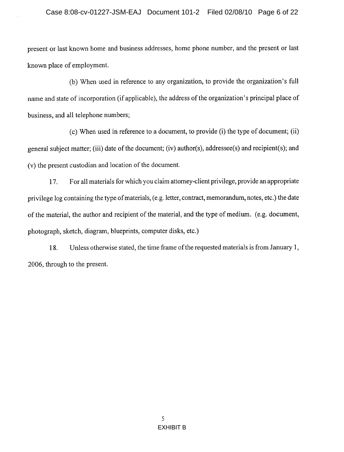present or last known home and business addresses, home phone number, and the present or last known place of employment.

(b) When used in reference to any organization, to provide the organization's full name and state of incorporation (if applicable), the address of the organization's principal place of business, and all telephone numbers;

(c) When used in reference to a document, to provide (i) the type of document; (ii) general subject matter; (iii) date of the document; (iv) author(s), addressee(s) and recipient(s); and (v) the present custodian and location of the document.

For all materials for which you claim attorney-client privilege, provide an appropriate 17. privilege log containing the type of materials, (e.g. letter, contract, memorandum, notes, etc.) the date of the material, the author and recipient of the material, and the type of medium. (e.g. document, photograph, sketch, diagram, blueprints, computer disks, etc.)

Unless otherwise stated, the time frame of the requested materials is from January 1, 18. 2006, through to the present.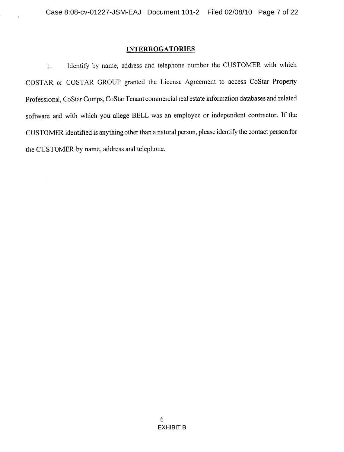#### **INTERROGATORIES**

Identify by name, address and telephone number the CUSTOMER with which  $1.$ COSTAR or COSTAR GROUP granted the License Agreement to access CoStar Property Professional, CoStar Comps, CoStar Tenant commercial real estate information databases and related software and with which you allege BELL was an employee or independent contractor. If the CUSTOMER identified is anything other than a natural person, please identify the contact person for the CUSTOMER by name, address and telephone.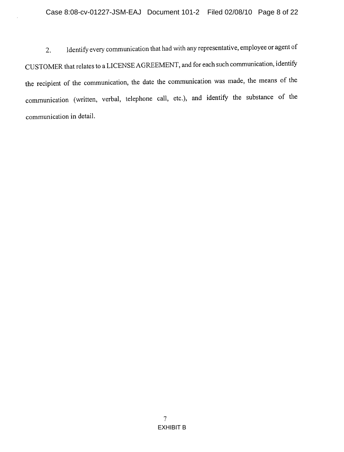Identify every communication that had with any representative, employee or agent of  $2.$ CUSTOMER that relates to a LICENSE AGREEMENT, and for each such communication, identify the recipient of the communication, the date the communication was made, the means of the communication (written, verbal, telephone call, etc.), and identify the substance of the communication in detail.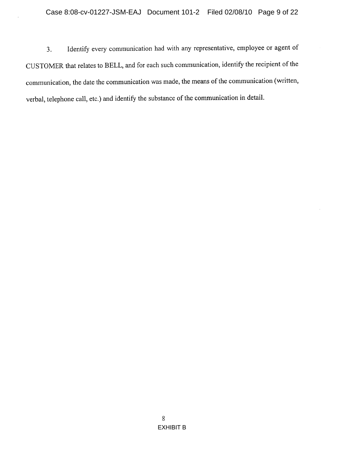Identify every communication had with any representative, employee or agent of  $3.$ CUSTOMER that relates to BELL, and for each such communication, identify the recipient of the communication, the date the communication was made, the means of the communication (written, verbal, telephone call, etc.) and identify the substance of the communication in detail.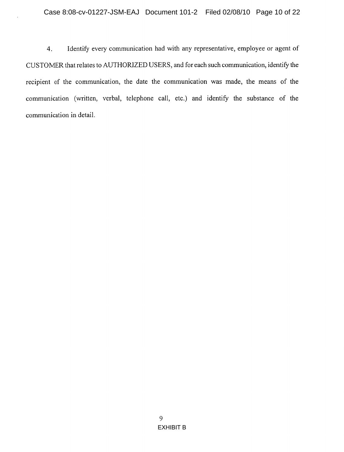Identify every communication had with any representative, employee or agent of  $4.$ CUSTOMER that relates to AUTHORIZED USERS, and for each such communication, identify the recipient of the communication, the date the communication was made, the means of the communication (written, verbal, telephone call, etc.) and identify the substance of the communication in detail.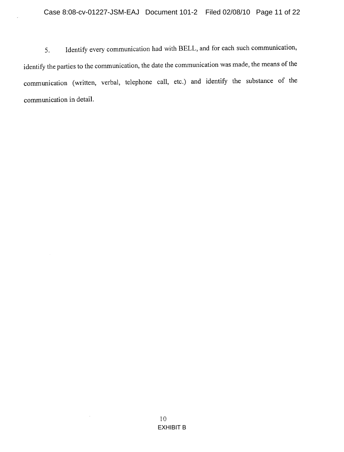Identify every communication had with BELL, and for each such communication, 5. identify the parties to the communication, the date the communication was made, the means of the communication (written, verbal, telephone call, etc.) and identify the substance of the communication in detail.

 $\hat{\boldsymbol{\epsilon}}$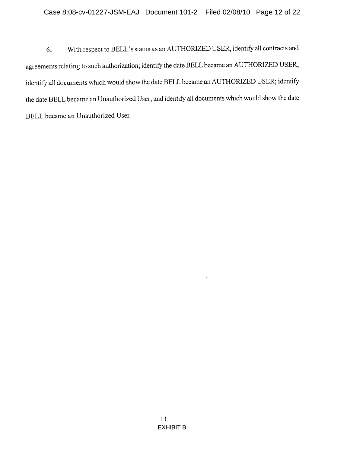With respect to BELL's status as an AUTHORIZED USER, identify all contracts and 6. agreements relating to such authorization; identify the date BELL became an AUTHORIZED USER; identify all documents which would show the date BELL became an AUTHORIZED USER; identify the date BELL became an Unauthorized User; and identify all documents which would show the date BELL became an Unauthorized User.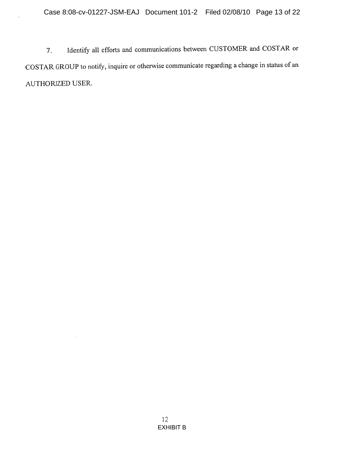Identify all efforts and communications between CUSTOMER and COSTAR or 7. COSTAR GROUP to notify, inquire or otherwise communicate regarding a change in status of an AUTHORIZED USER.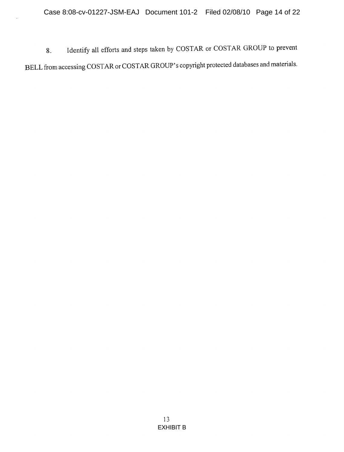Identify all efforts and steps taken by COSTAR or COSTAR GROUP to prevent 8. BELL from accessing COSTAR or COSTAR GROUP's copyright protected databases and materials.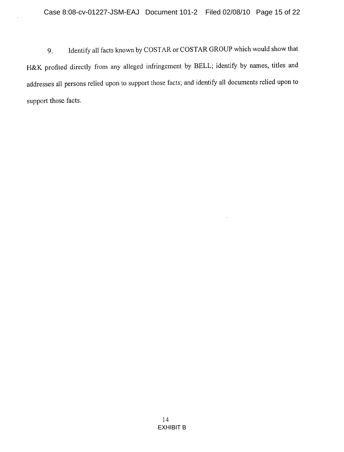Identify all facts known by COSTAR or COSTAR GROUP which would show that 9. H&K profited directly from any alleged infringement by BELL; identify by names, titles and addresses all persons relied upon to support those facts; and identify all documents relied upon to support those facts.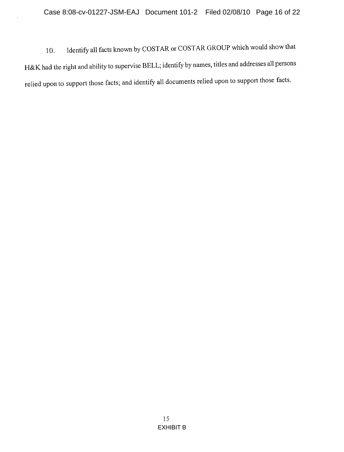Identify all facts known by COSTAR or COSTAR GROUP which would show that  $10.$ H&K had the right and ability to supervise BELL; identify by names, titles and addresses all persons relied upon to support those facts; and identify all documents relied upon to support those facts.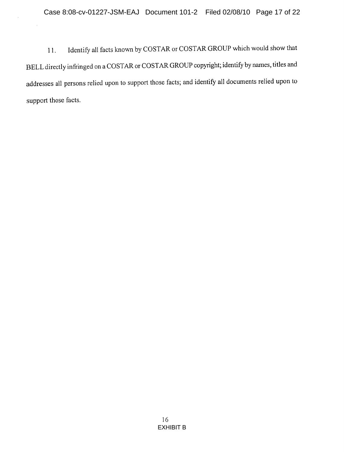Identify all facts known by COSTAR or COSTAR GROUP which would show that  $11.$ BELL directly infringed on a COSTAR or COSTAR GROUP copyright; identify by names, titles and addresses all persons relied upon to support those facts; and identify all documents relied upon to support those facts.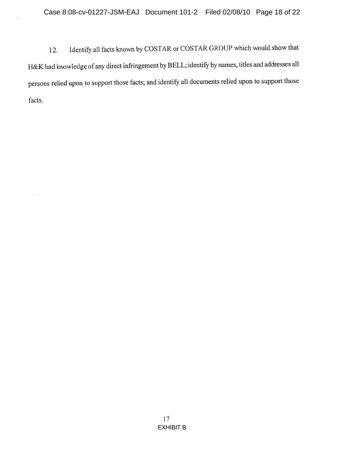Identify all facts known by COSTAR or COSTAR GROUP which would show that  $12.$ H&K had knowledge of any direct infringement by BELL; identify by names, titles and addresses all persons relied upon to support those facts; and identify all documents relied upon to support those facts.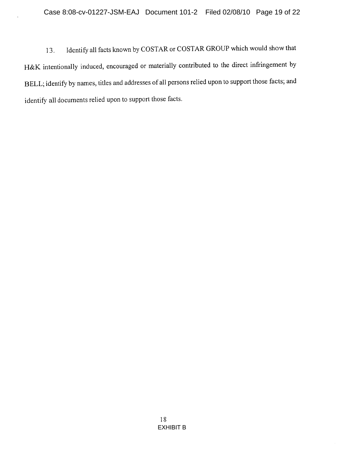Identify all facts known by COSTAR or COSTAR GROUP which would show that 13. H&K intentionally induced, encouraged or materially contributed to the direct infringement by BELL; identify by names, titles and addresses of all persons relied upon to support those facts; and identify all documents relied upon to support those facts.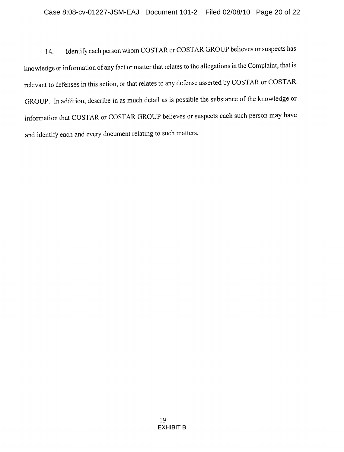Identify each person whom COSTAR or COSTAR GROUP believes or suspects has 14. knowledge or information of any fact or matter that relates to the allegations in the Complaint, that is relevant to defenses in this action, or that relates to any defense asserted by COSTAR or COSTAR GROUP. In addition, describe in as much detail as is possible the substance of the knowledge or information that COSTAR or COSTAR GROUP believes or suspects each such person may have and identify each and every document relating to such matters.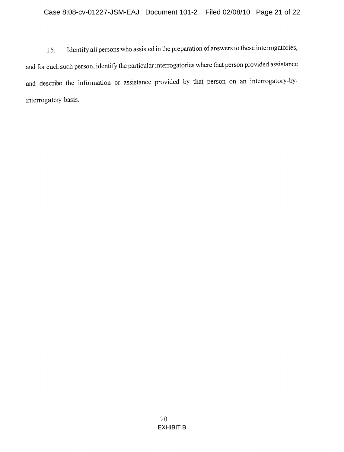Identify all persons who assisted in the preparation of answers to these interrogatories, 15. and for each such person, identify the particular interrogatories where that person provided assistance and describe the information or assistance provided by that person on an interrogatory-byinterrogatory basis.